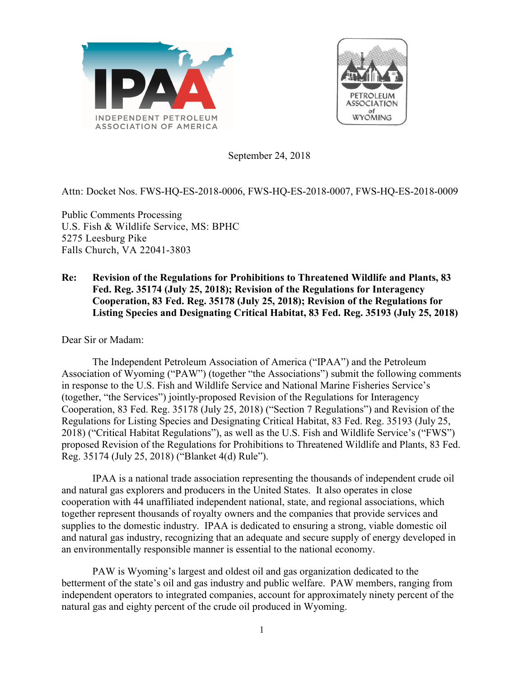



September 24, 2018

# Attn: Docket Nos. FWS-HQ-ES-2018-0006, FWS-HQ-ES-2018-0007, FWS-HQ-ES-2018-0009

Public Comments Processing U.S. Fish & Wildlife Service, MS: BPHC 5275 Leesburg Pike Falls Church, VA 22041-3803

## **Re: Revision of the Regulations for Prohibitions to Threatened Wildlife and Plants, 83 Fed. Reg. 35174 (July 25, 2018); Revision of the Regulations for Interagency Cooperation, 83 Fed. Reg. 35178 (July 25, 2018); Revision of the Regulations for Listing Species and Designating Critical Habitat, 83 Fed. Reg. 35193 (July 25, 2018)**

Dear Sir or Madam:

The Independent Petroleum Association of America ("IPAA") and the Petroleum Association of Wyoming ("PAW") (together "the Associations") submit the following comments in response to the U.S. Fish and Wildlife Service and National Marine Fisheries Service's (together, "the Services") jointly-proposed Revision of the Regulations for Interagency Cooperation, 83 Fed. Reg. 35178 (July 25, 2018) ("Section 7 Regulations") and Revision of the Regulations for Listing Species and Designating Critical Habitat, 83 Fed. Reg. 35193 (July 25, 2018) ("Critical Habitat Regulations"), as well as the U.S. Fish and Wildlife Service's ("FWS") proposed Revision of the Regulations for Prohibitions to Threatened Wildlife and Plants, 83 Fed. Reg. 35174 (July 25, 2018) ("Blanket 4(d) Rule").

IPAA is a national trade association representing the thousands of independent crude oil and natural gas explorers and producers in the United States. It also operates in close cooperation with 44 unaffiliated independent national, state, and regional associations, which together represent thousands of royalty owners and the companies that provide services and supplies to the domestic industry. IPAA is dedicated to ensuring a strong, viable domestic oil and natural gas industry, recognizing that an adequate and secure supply of energy developed in an environmentally responsible manner is essential to the national economy.

PAW is Wyoming's largest and oldest oil and gas organization dedicated to the betterment of the state's oil and gas industry and public welfare. PAW members, ranging from independent operators to integrated companies, account for approximately ninety percent of the natural gas and eighty percent of the crude oil produced in Wyoming.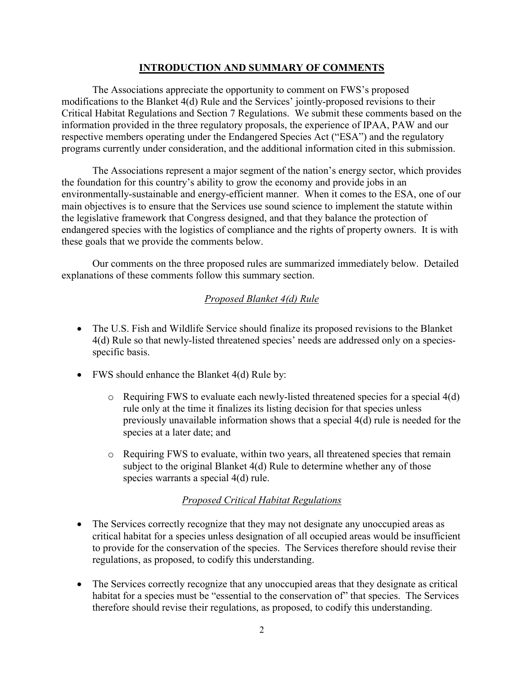### **INTRODUCTION AND SUMMARY OF COMMENTS**

The Associations appreciate the opportunity to comment on FWS's proposed modifications to the Blanket 4(d) Rule and the Services' jointly-proposed revisions to their Critical Habitat Regulations and Section 7 Regulations. We submit these comments based on the information provided in the three regulatory proposals, the experience of IPAA, PAW and our respective members operating under the Endangered Species Act ("ESA") and the regulatory programs currently under consideration, and the additional information cited in this submission.

The Associations represent a major segment of the nation's energy sector, which provides the foundation for this country's ability to grow the economy and provide jobs in an environmentally-sustainable and energy-efficient manner. When it comes to the ESA, one of our main objectives is to ensure that the Services use sound science to implement the statute within the legislative framework that Congress designed, and that they balance the protection of endangered species with the logistics of compliance and the rights of property owners. It is with these goals that we provide the comments below.

Our comments on the three proposed rules are summarized immediately below. Detailed explanations of these comments follow this summary section.

# *Proposed Blanket 4(d) Rule*

- The U.S. Fish and Wildlife Service should finalize its proposed revisions to the Blanket 4(d) Rule so that newly-listed threatened species' needs are addressed only on a speciesspecific basis.
- FWS should enhance the Blanket 4(d) Rule by:
	- $\circ$  Requiring FWS to evaluate each newly-listed threatened species for a special 4(d) rule only at the time it finalizes its listing decision for that species unless previously unavailable information shows that a special 4(d) rule is needed for the species at a later date; and
	- o Requiring FWS to evaluate, within two years, all threatened species that remain subject to the original Blanket 4(d) Rule to determine whether any of those species warrants a special 4(d) rule.

# *Proposed Critical Habitat Regulations*

- The Services correctly recognize that they may not designate any unoccupied areas as critical habitat for a species unless designation of all occupied areas would be insufficient to provide for the conservation of the species. The Services therefore should revise their regulations, as proposed, to codify this understanding.
- The Services correctly recognize that any unoccupied areas that they designate as critical habitat for a species must be "essential to the conservation of" that species. The Services therefore should revise their regulations, as proposed, to codify this understanding.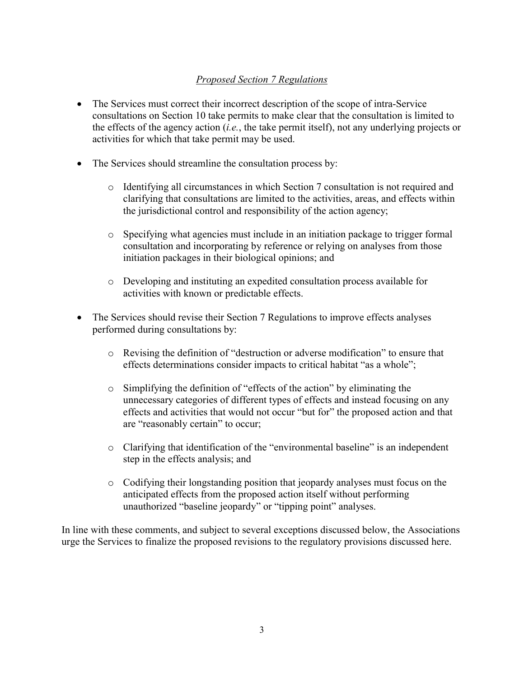# *Proposed Section 7 Regulations*

- The Services must correct their incorrect description of the scope of intra-Service consultations on Section 10 take permits to make clear that the consultation is limited to the effects of the agency action (*i.e.*, the take permit itself), not any underlying projects or activities for which that take permit may be used.
- The Services should streamline the consultation process by:
	- o Identifying all circumstances in which Section 7 consultation is not required and clarifying that consultations are limited to the activities, areas, and effects within the jurisdictional control and responsibility of the action agency;
	- o Specifying what agencies must include in an initiation package to trigger formal consultation and incorporating by reference or relying on analyses from those initiation packages in their biological opinions; and
	- o Developing and instituting an expedited consultation process available for activities with known or predictable effects.
- The Services should revise their Section 7 Regulations to improve effects analyses performed during consultations by:
	- o Revising the definition of "destruction or adverse modification" to ensure that effects determinations consider impacts to critical habitat "as a whole";
	- o Simplifying the definition of "effects of the action" by eliminating the unnecessary categories of different types of effects and instead focusing on any effects and activities that would not occur "but for" the proposed action and that are "reasonably certain" to occur;
	- o Clarifying that identification of the "environmental baseline" is an independent step in the effects analysis; and
	- o Codifying their longstanding position that jeopardy analyses must focus on the anticipated effects from the proposed action itself without performing unauthorized "baseline jeopardy" or "tipping point" analyses.

In line with these comments, and subject to several exceptions discussed below, the Associations urge the Services to finalize the proposed revisions to the regulatory provisions discussed here.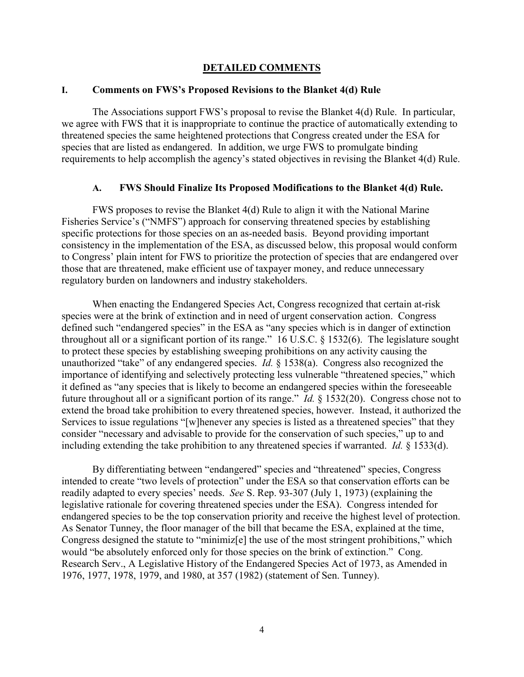#### **DETAILED COMMENTS**

#### **I. Comments on FWS's Proposed Revisions to the Blanket 4(d) Rule**

The Associations support FWS's proposal to revise the Blanket 4(d) Rule. In particular, we agree with FWS that it is inappropriate to continue the practice of automatically extending to threatened species the same heightened protections that Congress created under the ESA for species that are listed as endangered. In addition, we urge FWS to promulgate binding requirements to help accomplish the agency's stated objectives in revising the Blanket 4(d) Rule.

#### **A. FWS Should Finalize Its Proposed Modifications to the Blanket 4(d) Rule.**

FWS proposes to revise the Blanket 4(d) Rule to align it with the National Marine Fisheries Service's ("NMFS") approach for conserving threatened species by establishing specific protections for those species on an as-needed basis. Beyond providing important consistency in the implementation of the ESA, as discussed below, this proposal would conform to Congress' plain intent for FWS to prioritize the protection of species that are endangered over those that are threatened, make efficient use of taxpayer money, and reduce unnecessary regulatory burden on landowners and industry stakeholders.

When enacting the Endangered Species Act, Congress recognized that certain at-risk species were at the brink of extinction and in need of urgent conservation action. Congress defined such "endangered species" in the ESA as "any species which is in danger of extinction throughout all or a significant portion of its range." 16 U.S.C. § 1532(6). The legislature sought to protect these species by establishing sweeping prohibitions on any activity causing the unauthorized "take" of any endangered species. *Id.* § 1538(a). Congress also recognized the importance of identifying and selectively protecting less vulnerable "threatened species," which it defined as "any species that is likely to become an endangered species within the foreseeable future throughout all or a significant portion of its range." *Id.* § 1532(20). Congress chose not to extend the broad take prohibition to every threatened species, however. Instead, it authorized the Services to issue regulations "[w]henever any species is listed as a threatened species" that they consider "necessary and advisable to provide for the conservation of such species," up to and including extending the take prohibition to any threatened species if warranted. *Id.* § 1533(d).

By differentiating between "endangered" species and "threatened" species, Congress intended to create "two levels of protection" under the ESA so that conservation efforts can be readily adapted to every species' needs. *See* S. Rep. 93-307 (July 1, 1973) (explaining the legislative rationale for covering threatened species under the ESA). Congress intended for endangered species to be the top conservation priority and receive the highest level of protection. As Senator Tunney, the floor manager of the bill that became the ESA, explained at the time, Congress designed the statute to "minimiz[e] the use of the most stringent prohibitions," which would "be absolutely enforced only for those species on the brink of extinction." Cong. Research Serv., A Legislative History of the Endangered Species Act of 1973, as Amended in 1976, 1977, 1978, 1979, and 1980, at 357 (1982) (statement of Sen. Tunney).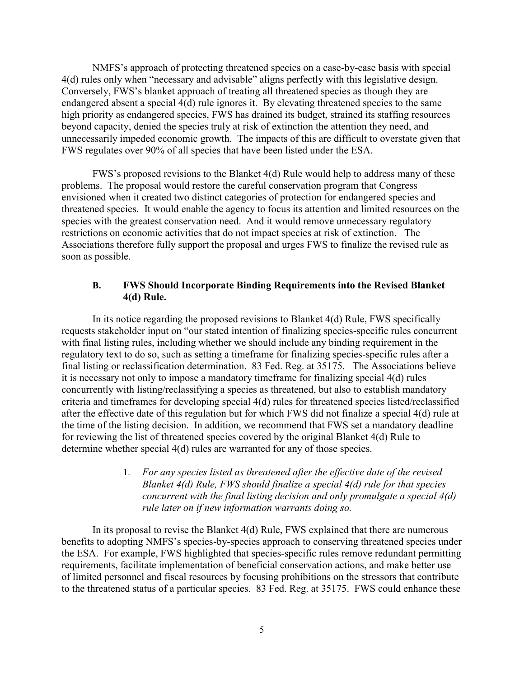NMFS's approach of protecting threatened species on a case-by-case basis with special 4(d) rules only when "necessary and advisable" aligns perfectly with this legislative design. Conversely, FWS's blanket approach of treating all threatened species as though they are endangered absent a special 4(d) rule ignores it. By elevating threatened species to the same high priority as endangered species, FWS has drained its budget, strained its staffing resources beyond capacity, denied the species truly at risk of extinction the attention they need, and unnecessarily impeded economic growth. The impacts of this are difficult to overstate given that FWS regulates over 90% of all species that have been listed under the ESA.

FWS's proposed revisions to the Blanket 4(d) Rule would help to address many of these problems. The proposal would restore the careful conservation program that Congress envisioned when it created two distinct categories of protection for endangered species and threatened species. It would enable the agency to focus its attention and limited resources on the species with the greatest conservation need. And it would remove unnecessary regulatory restrictions on economic activities that do not impact species at risk of extinction. The Associations therefore fully support the proposal and urges FWS to finalize the revised rule as soon as possible.

### **B. FWS Should Incorporate Binding Requirements into the Revised Blanket 4(d) Rule.**

In its notice regarding the proposed revisions to Blanket 4(d) Rule, FWS specifically requests stakeholder input on "our stated intention of finalizing species-specific rules concurrent with final listing rules, including whether we should include any binding requirement in the regulatory text to do so, such as setting a timeframe for finalizing species-specific rules after a final listing or reclassification determination. 83 Fed. Reg. at 35175. The Associations believe it is necessary not only to impose a mandatory timeframe for finalizing special 4(d) rules concurrently with listing/reclassifying a species as threatened, but also to establish mandatory criteria and timeframes for developing special 4(d) rules for threatened species listed/reclassified after the effective date of this regulation but for which FWS did not finalize a special 4(d) rule at the time of the listing decision. In addition, we recommend that FWS set a mandatory deadline for reviewing the list of threatened species covered by the original Blanket 4(d) Rule to determine whether special 4(d) rules are warranted for any of those species.

> 1. *For any species listed as threatened after the effective date of the revised Blanket 4(d) Rule, FWS should finalize a special 4(d) rule for that species concurrent with the final listing decision and only promulgate a special 4(d) rule later on if new information warrants doing so.*

In its proposal to revise the Blanket  $4(d)$  Rule, FWS explained that there are numerous benefits to adopting NMFS's species-by-species approach to conserving threatened species under the ESA. For example, FWS highlighted that species-specific rules remove redundant permitting requirements, facilitate implementation of beneficial conservation actions, and make better use of limited personnel and fiscal resources by focusing prohibitions on the stressors that contribute to the threatened status of a particular species. 83 Fed. Reg. at 35175. FWS could enhance these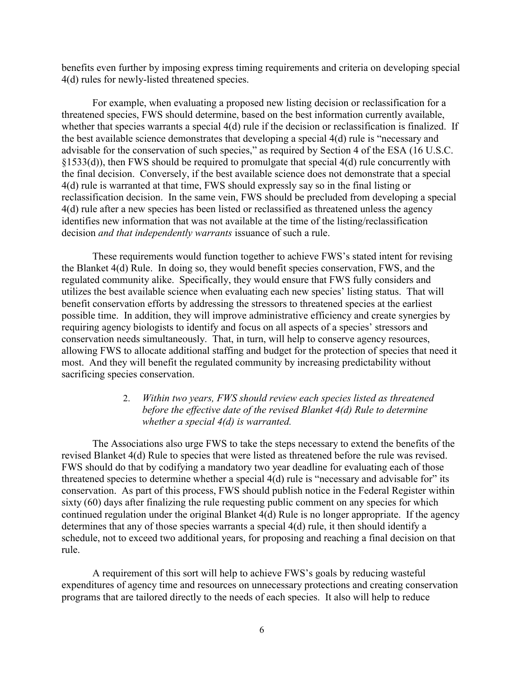benefits even further by imposing express timing requirements and criteria on developing special 4(d) rules for newly-listed threatened species.

For example, when evaluating a proposed new listing decision or reclassification for a threatened species, FWS should determine, based on the best information currently available, whether that species warrants a special 4(d) rule if the decision or reclassification is finalized. If the best available science demonstrates that developing a special 4(d) rule is "necessary and advisable for the conservation of such species," as required by Section 4 of the ESA (16 U.S.C. §1533(d)), then FWS should be required to promulgate that special 4(d) rule concurrently with the final decision. Conversely, if the best available science does not demonstrate that a special 4(d) rule is warranted at that time, FWS should expressly say so in the final listing or reclassification decision. In the same vein, FWS should be precluded from developing a special 4(d) rule after a new species has been listed or reclassified as threatened unless the agency identifies new information that was not available at the time of the listing/reclassification decision *and that independently warrants* issuance of such a rule.

These requirements would function together to achieve FWS's stated intent for revising the Blanket 4(d) Rule. In doing so, they would benefit species conservation, FWS, and the regulated community alike. Specifically, they would ensure that FWS fully considers and utilizes the best available science when evaluating each new species' listing status. That will benefit conservation efforts by addressing the stressors to threatened species at the earliest possible time. In addition, they will improve administrative efficiency and create synergies by requiring agency biologists to identify and focus on all aspects of a species' stressors and conservation needs simultaneously. That, in turn, will help to conserve agency resources, allowing FWS to allocate additional staffing and budget for the protection of species that need it most. And they will benefit the regulated community by increasing predictability without sacrificing species conservation.

### 2. *Within two years, FWS should review each species listed as threatened before the effective date of the revised Blanket 4(d) Rule to determine whether a special 4(d) is warranted.*

The Associations also urge FWS to take the steps necessary to extend the benefits of the revised Blanket 4(d) Rule to species that were listed as threatened before the rule was revised. FWS should do that by codifying a mandatory two year deadline for evaluating each of those threatened species to determine whether a special 4(d) rule is "necessary and advisable for" its conservation. As part of this process, FWS should publish notice in the Federal Register within sixty (60) days after finalizing the rule requesting public comment on any species for which continued regulation under the original Blanket 4(d) Rule is no longer appropriate. If the agency determines that any of those species warrants a special 4(d) rule, it then should identify a schedule, not to exceed two additional years, for proposing and reaching a final decision on that rule.

A requirement of this sort will help to achieve FWS's goals by reducing wasteful expenditures of agency time and resources on unnecessary protections and creating conservation programs that are tailored directly to the needs of each species. It also will help to reduce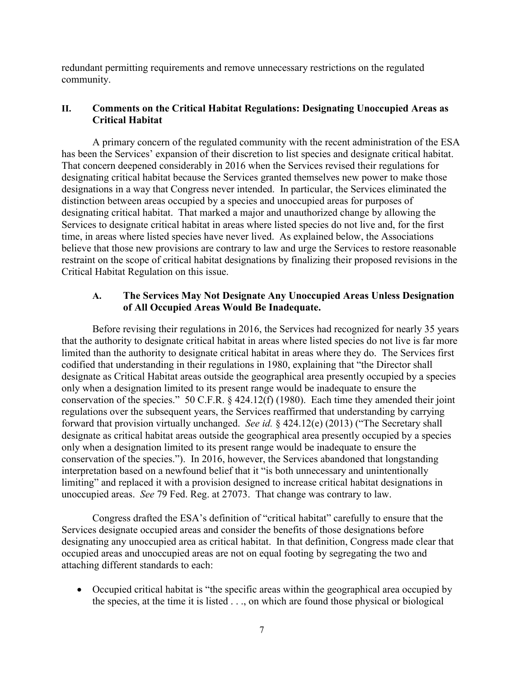redundant permitting requirements and remove unnecessary restrictions on the regulated community.

## **II. Comments on the Critical Habitat Regulations: Designating Unoccupied Areas as Critical Habitat**

A primary concern of the regulated community with the recent administration of the ESA has been the Services' expansion of their discretion to list species and designate critical habitat. That concern deepened considerably in 2016 when the Services revised their regulations for designating critical habitat because the Services granted themselves new power to make those designations in a way that Congress never intended. In particular, the Services eliminated the distinction between areas occupied by a species and unoccupied areas for purposes of designating critical habitat. That marked a major and unauthorized change by allowing the Services to designate critical habitat in areas where listed species do not live and, for the first time, in areas where listed species have never lived. As explained below, the Associations believe that those new provisions are contrary to law and urge the Services to restore reasonable restraint on the scope of critical habitat designations by finalizing their proposed revisions in the Critical Habitat Regulation on this issue.

## **A. The Services May Not Designate Any Unoccupied Areas Unless Designation of All Occupied Areas Would Be Inadequate.**

Before revising their regulations in 2016, the Services had recognized for nearly 35 years that the authority to designate critical habitat in areas where listed species do not live is far more limited than the authority to designate critical habitat in areas where they do. The Services first codified that understanding in their regulations in 1980, explaining that "the Director shall designate as Critical Habitat areas outside the geographical area presently occupied by a species only when a designation limited to its present range would be inadequate to ensure the conservation of the species." 50 C.F.R. § 424.12(f) (1980). Each time they amended their joint regulations over the subsequent years, the Services reaffirmed that understanding by carrying forward that provision virtually unchanged. *See id.* § 424.12(e) (2013) ("The Secretary shall designate as critical habitat areas outside the geographical area presently occupied by a species only when a designation limited to its present range would be inadequate to ensure the conservation of the species."). In 2016, however, the Services abandoned that longstanding interpretation based on a newfound belief that it "is both unnecessary and unintentionally limiting" and replaced it with a provision designed to increase critical habitat designations in unoccupied areas. *See* 79 Fed. Reg. at 27073. That change was contrary to law.

Congress drafted the ESA's definition of "critical habitat" carefully to ensure that the Services designate occupied areas and consider the benefits of those designations before designating any unoccupied area as critical habitat. In that definition, Congress made clear that occupied areas and unoccupied areas are not on equal footing by segregating the two and attaching different standards to each:

 Occupied critical habitat is "the specific areas within the geographical area occupied by the species, at the time it is listed . . ., on which are found those physical or biological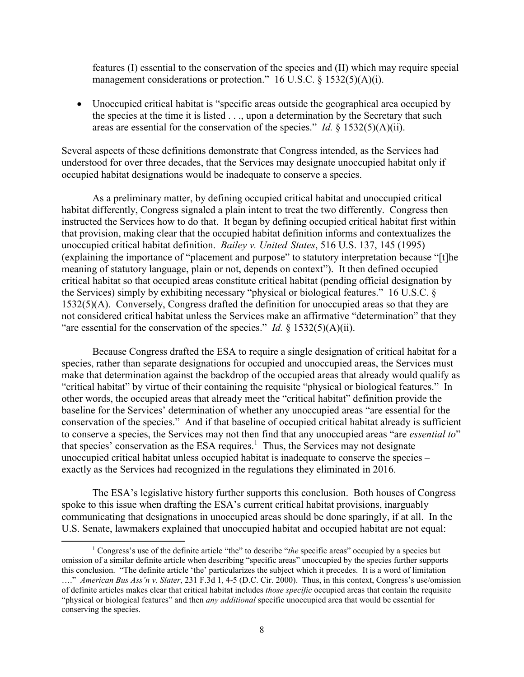features (I) essential to the conservation of the species and (II) which may require special management considerations or protection." 16 U.S.C.  $\S$  1532(5)(A)(i).

 Unoccupied critical habitat is "specific areas outside the geographical area occupied by the species at the time it is listed . . ., upon a determination by the Secretary that such areas are essential for the conservation of the species." *Id.* § 1532(5)(A)(ii).

Several aspects of these definitions demonstrate that Congress intended, as the Services had understood for over three decades, that the Services may designate unoccupied habitat only if occupied habitat designations would be inadequate to conserve a species.

As a preliminary matter, by defining occupied critical habitat and unoccupied critical habitat differently, Congress signaled a plain intent to treat the two differently. Congress then instructed the Services how to do that. It began by defining occupied critical habitat first within that provision, making clear that the occupied habitat definition informs and contextualizes the unoccupied critical habitat definition. *Bailey v. United States*, 516 U.S. 137, 145 (1995) (explaining the importance of "placement and purpose" to statutory interpretation because "[t]he meaning of statutory language, plain or not, depends on context"). It then defined occupied critical habitat so that occupied areas constitute critical habitat (pending official designation by the Services) simply by exhibiting necessary "physical or biological features." 16 U.S.C. § 1532(5)(A). Conversely, Congress drafted the definition for unoccupied areas so that they are not considered critical habitat unless the Services make an affirmative "determination" that they "are essential for the conservation of the species." *Id.* § 1532(5)(A)(ii).

Because Congress drafted the ESA to require a single designation of critical habitat for a species, rather than separate designations for occupied and unoccupied areas, the Services must make that determination against the backdrop of the occupied areas that already would qualify as "critical habitat" by virtue of their containing the requisite "physical or biological features." In other words, the occupied areas that already meet the "critical habitat" definition provide the baseline for the Services' determination of whether any unoccupied areas "are essential for the conservation of the species." And if that baseline of occupied critical habitat already is sufficient to conserve a species, the Services may not then find that any unoccupied areas "are *essential to*" that species' conservation as the ESA requires.<sup>1</sup> Thus, the Services may not designate unoccupied critical habitat unless occupied habitat is inadequate to conserve the species – exactly as the Services had recognized in the regulations they eliminated in 2016.

The ESA's legislative history further supports this conclusion. Both houses of Congress spoke to this issue when drafting the ESA's current critical habitat provisions, inarguably communicating that designations in unoccupied areas should be done sparingly, if at all. In the U.S. Senate, lawmakers explained that unoccupied habitat and occupied habitat are not equal:

l

<sup>&</sup>lt;sup>1</sup> Congress's use of the definite article "the" to describe "*the* specific areas" occupied by a species but omission of a similar definite article when describing "specific areas" unoccupied by the species further supports this conclusion. "The definite article 'the' particularizes the subject which it precedes. It is a word of limitation …." *American Bus Ass'n v. Slater*, 231 F.3d 1, 4-5 (D.C. Cir. 2000). Thus, in this context, Congress's use/omission of definite articles makes clear that critical habitat includes *those specific* occupied areas that contain the requisite "physical or biological features" and then *any additional* specific unoccupied area that would be essential for conserving the species.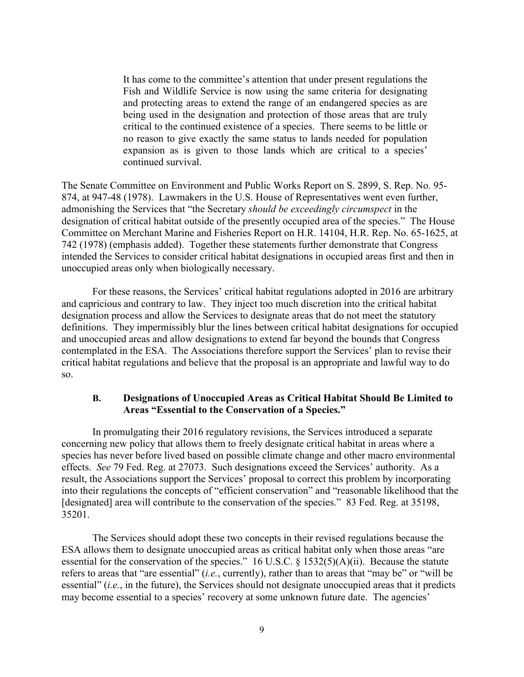It has come to the committee's attention that under present regulations the Fish and Wildlife Service is now using the same criteria for designating and protecting areas to extend the range of an endangered species as are being used in the designation and protection of those areas that are truly critical to the continued existence of a species. There seems to be little or no reason to give exactly the same status to lands needed for population expansion as is given to those lands which are critical to a species' continued survival.

The Senate Committee on Environment and Public Works Report on S. 2899, S. Rep. No. 95- 874, at 947-48 (1978). Lawmakers in the U.S. House of Representatives went even further, admonishing the Services that "the Secretary *should be exceedingly circumspect* in the designation of critical habitat outside of the presently occupied area of the species." The House Committee on Merchant Marine and Fisheries Report on H.R. 14104, H.R. Rep. No. 65-1625, at 742 (1978) (emphasis added). Together these statements further demonstrate that Congress intended the Services to consider critical habitat designations in occupied areas first and then in unoccupied areas only when biologically necessary.

For these reasons, the Services' critical habitat regulations adopted in 2016 are arbitrary and capricious and contrary to law. They inject too much discretion into the critical habitat designation process and allow the Services to designate areas that do not meet the statutory definitions. They impermissibly blur the lines between critical habitat designations for occupied and unoccupied areas and allow designations to extend far beyond the bounds that Congress contemplated in the ESA. The Associations therefore support the Services' plan to revise their critical habitat regulations and believe that the proposal is an appropriate and lawful way to do so.

### **B. Designations of Unoccupied Areas as Critical Habitat Should Be Limited to Areas "Essential to the Conservation of a Species."**

In promulgating their 2016 regulatory revisions, the Services introduced a separate concerning new policy that allows them to freely designate critical habitat in areas where a species has never before lived based on possible climate change and other macro environmental effects. *See* 79 Fed. Reg. at 27073. Such designations exceed the Services' authority. As a result, the Associations support the Services' proposal to correct this problem by incorporating into their regulations the concepts of "efficient conservation" and "reasonable likelihood that the [designated] area will contribute to the conservation of the species." 83 Fed. Reg. at 35198, 35201.

The Services should adopt these two concepts in their revised regulations because the ESA allows them to designate unoccupied areas as critical habitat only when those areas "are essential for the conservation of the species." 16 U.S.C. § 1532(5)(A)(ii). Because the statute refers to areas that "are essential" (*i.e.*, currently), rather than to areas that "may be" or "will be essential" (*i.e.*, in the future), the Services should not designate unoccupied areas that it predicts may become essential to a species' recovery at some unknown future date. The agencies'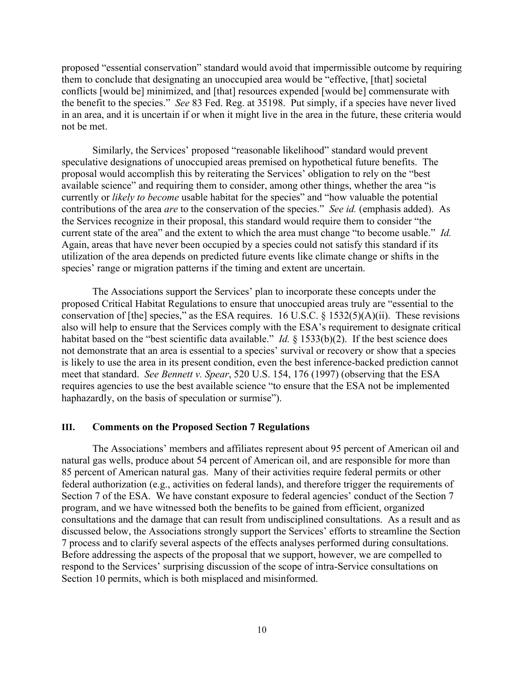proposed "essential conservation" standard would avoid that impermissible outcome by requiring them to conclude that designating an unoccupied area would be "effective, [that] societal conflicts [would be] minimized, and [that] resources expended [would be] commensurate with the benefit to the species." *See* 83 Fed. Reg. at 35198. Put simply, if a species have never lived in an area, and it is uncertain if or when it might live in the area in the future, these criteria would not be met.

Similarly, the Services' proposed "reasonable likelihood" standard would prevent speculative designations of unoccupied areas premised on hypothetical future benefits. The proposal would accomplish this by reiterating the Services' obligation to rely on the "best available science" and requiring them to consider, among other things, whether the area "is currently or *likely to become* usable habitat for the species" and "how valuable the potential contributions of the area *are* to the conservation of the species." *See id.* (emphasis added). As the Services recognize in their proposal, this standard would require them to consider "the current state of the area" and the extent to which the area must change "to become usable." *Id.*  Again, areas that have never been occupied by a species could not satisfy this standard if its utilization of the area depends on predicted future events like climate change or shifts in the species' range or migration patterns if the timing and extent are uncertain.

The Associations support the Services' plan to incorporate these concepts under the proposed Critical Habitat Regulations to ensure that unoccupied areas truly are "essential to the conservation of [the] species," as the ESA requires. 16 U.S.C. § 1532(5)(A)(ii). These revisions also will help to ensure that the Services comply with the ESA's requirement to designate critical habitat based on the "best scientific data available." *Id.* § 1533(b)(2). If the best science does not demonstrate that an area is essential to a species' survival or recovery or show that a species is likely to use the area in its present condition, even the best inference-backed prediction cannot meet that standard. *See Bennett v. Spear*, 520 U.S. 154, 176 (1997) (observing that the ESA requires agencies to use the best available science "to ensure that the ESA not be implemented haphazardly, on the basis of speculation or surmise").

#### **III. Comments on the Proposed Section 7 Regulations**

The Associations' members and affiliates represent about 95 percent of American oil and natural gas wells, produce about 54 percent of American oil, and are responsible for more than 85 percent of American natural gas. Many of their activities require federal permits or other federal authorization (e.g., activities on federal lands), and therefore trigger the requirements of Section 7 of the ESA. We have constant exposure to federal agencies' conduct of the Section 7 program, and we have witnessed both the benefits to be gained from efficient, organized consultations and the damage that can result from undisciplined consultations. As a result and as discussed below, the Associations strongly support the Services' efforts to streamline the Section 7 process and to clarify several aspects of the effects analyses performed during consultations. Before addressing the aspects of the proposal that we support, however, we are compelled to respond to the Services' surprising discussion of the scope of intra-Service consultations on Section 10 permits, which is both misplaced and misinformed.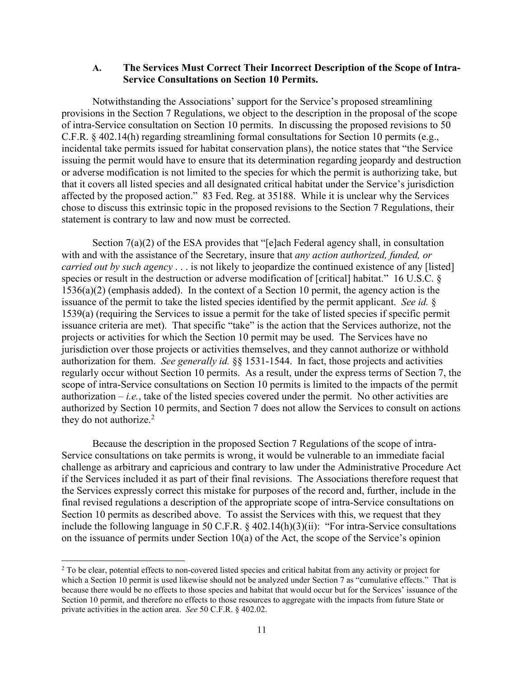#### **A. The Services Must Correct Their Incorrect Description of the Scope of Intra-Service Consultations on Section 10 Permits.**

Notwithstanding the Associations' support for the Service's proposed streamlining provisions in the Section 7 Regulations, we object to the description in the proposal of the scope of intra-Service consultation on Section 10 permits. In discussing the proposed revisions to 50 C.F.R. § 402.14(h) regarding streamlining formal consultations for Section 10 permits (e.g., incidental take permits issued for habitat conservation plans), the notice states that "the Service issuing the permit would have to ensure that its determination regarding jeopardy and destruction or adverse modification is not limited to the species for which the permit is authorizing take, but that it covers all listed species and all designated critical habitat under the Service's jurisdiction affected by the proposed action." 83 Fed. Reg. at 35188. While it is unclear why the Services chose to discuss this extrinsic topic in the proposed revisions to the Section 7 Regulations, their statement is contrary to law and now must be corrected.

Section 7(a)(2) of the ESA provides that "[e]ach Federal agency shall, in consultation with and with the assistance of the Secretary, insure that *any action authorized, funded, or carried out by such agency* . . . is not likely to jeopardize the continued existence of any [listed] species or result in the destruction or adverse modification of [critical] habitat." 16 U.S.C. § 1536(a)(2) (emphasis added). In the context of a Section 10 permit, the agency action is the issuance of the permit to take the listed species identified by the permit applicant. *See id.* § 1539(a) (requiring the Services to issue a permit for the take of listed species if specific permit issuance criteria are met). That specific "take" is the action that the Services authorize, not the projects or activities for which the Section 10 permit may be used. The Services have no jurisdiction over those projects or activities themselves, and they cannot authorize or withhold authorization for them. *See generally id.* §§ 1531-1544. In fact, those projects and activities regularly occur without Section 10 permits. As a result, under the express terms of Section 7, the scope of intra-Service consultations on Section 10 permits is limited to the impacts of the permit authorization  $-i.e.,$  take of the listed species covered under the permit. No other activities are authorized by Section 10 permits, and Section 7 does not allow the Services to consult on actions they do not authorize. $2$ 

Because the description in the proposed Section 7 Regulations of the scope of intra-Service consultations on take permits is wrong, it would be vulnerable to an immediate facial challenge as arbitrary and capricious and contrary to law under the Administrative Procedure Act if the Services included it as part of their final revisions. The Associations therefore request that the Services expressly correct this mistake for purposes of the record and, further, include in the final revised regulations a description of the appropriate scope of intra-Service consultations on Section 10 permits as described above. To assist the Services with this, we request that they include the following language in 50 C.F.R. § 402.14(h)(3)(ii): "For intra-Service consultations on the issuance of permits under Section 10(a) of the Act, the scope of the Service's opinion

 $\overline{a}$ 

<sup>&</sup>lt;sup>2</sup> To be clear, potential effects to non-covered listed species and critical habitat from any activity or project for which a Section 10 permit is used likewise should not be analyzed under Section 7 as "cumulative effects." That is because there would be no effects to those species and habitat that would occur but for the Services' issuance of the Section 10 permit, and therefore no effects to those resources to aggregate with the impacts from future State or private activities in the action area. *See* 50 C.F.R. § 402.02.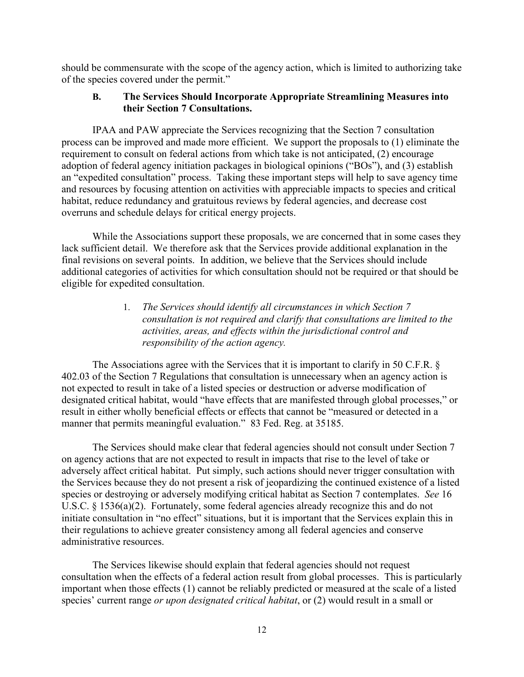should be commensurate with the scope of the agency action, which is limited to authorizing take of the species covered under the permit."

### **B. The Services Should Incorporate Appropriate Streamlining Measures into their Section 7 Consultations.**

IPAA and PAW appreciate the Services recognizing that the Section 7 consultation process can be improved and made more efficient. We support the proposals to (1) eliminate the requirement to consult on federal actions from which take is not anticipated, (2) encourage adoption of federal agency initiation packages in biological opinions ("BOs"), and (3) establish an "expedited consultation" process. Taking these important steps will help to save agency time and resources by focusing attention on activities with appreciable impacts to species and critical habitat, reduce redundancy and gratuitous reviews by federal agencies, and decrease cost overruns and schedule delays for critical energy projects.

While the Associations support these proposals, we are concerned that in some cases they lack sufficient detail. We therefore ask that the Services provide additional explanation in the final revisions on several points. In addition, we believe that the Services should include additional categories of activities for which consultation should not be required or that should be eligible for expedited consultation.

> 1. *The Services should identify all circumstances in which Section 7 consultation is not required and clarify that consultations are limited to the activities, areas, and effects within the jurisdictional control and responsibility of the action agency.*

The Associations agree with the Services that it is important to clarify in 50 C.F.R. § 402.03 of the Section 7 Regulations that consultation is unnecessary when an agency action is not expected to result in take of a listed species or destruction or adverse modification of designated critical habitat, would "have effects that are manifested through global processes," or result in either wholly beneficial effects or effects that cannot be "measured or detected in a manner that permits meaningful evaluation." 83 Fed. Reg. at 35185.

The Services should make clear that federal agencies should not consult under Section 7 on agency actions that are not expected to result in impacts that rise to the level of take or adversely affect critical habitat. Put simply, such actions should never trigger consultation with the Services because they do not present a risk of jeopardizing the continued existence of a listed species or destroying or adversely modifying critical habitat as Section 7 contemplates. *See* 16 U.S.C. § 1536(a)(2). Fortunately, some federal agencies already recognize this and do not initiate consultation in "no effect" situations, but it is important that the Services explain this in their regulations to achieve greater consistency among all federal agencies and conserve administrative resources.

The Services likewise should explain that federal agencies should not request consultation when the effects of a federal action result from global processes. This is particularly important when those effects (1) cannot be reliably predicted or measured at the scale of a listed species' current range *or upon designated critical habitat*, or (2) would result in a small or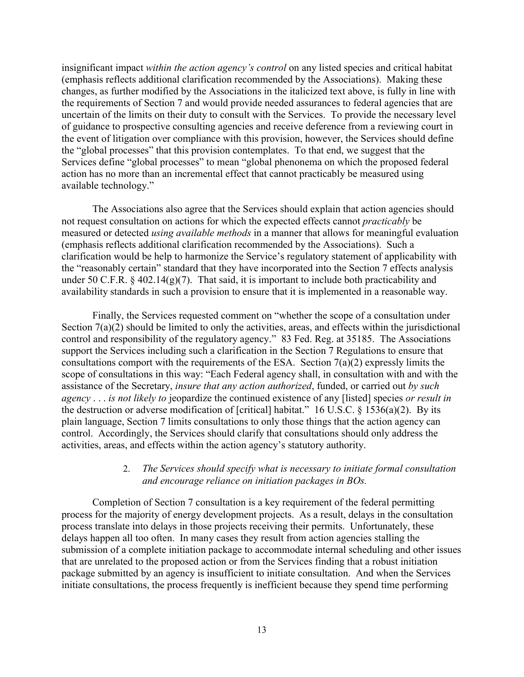insignificant impact *within the action agency's control* on any listed species and critical habitat (emphasis reflects additional clarification recommended by the Associations). Making these changes, as further modified by the Associations in the italicized text above, is fully in line with the requirements of Section 7 and would provide needed assurances to federal agencies that are uncertain of the limits on their duty to consult with the Services. To provide the necessary level of guidance to prospective consulting agencies and receive deference from a reviewing court in the event of litigation over compliance with this provision, however, the Services should define the "global processes" that this provision contemplates. To that end, we suggest that the Services define "global processes" to mean "global phenonema on which the proposed federal action has no more than an incremental effect that cannot practicably be measured using available technology."

The Associations also agree that the Services should explain that action agencies should not request consultation on actions for which the expected effects cannot *practicably* be measured or detected *using available methods* in a manner that allows for meaningful evaluation (emphasis reflects additional clarification recommended by the Associations). Such a clarification would be help to harmonize the Service's regulatory statement of applicability with the "reasonably certain" standard that they have incorporated into the Section 7 effects analysis under 50 C.F.R.  $\S$  402.14(g)(7). That said, it is important to include both practicability and availability standards in such a provision to ensure that it is implemented in a reasonable way.

Finally, the Services requested comment on "whether the scope of a consultation under Section 7(a)(2) should be limited to only the activities, areas, and effects within the jurisdictional control and responsibility of the regulatory agency." 83 Fed. Reg. at 35185. The Associations support the Services including such a clarification in the Section 7 Regulations to ensure that consultations comport with the requirements of the ESA. Section  $7(a)(2)$  expressly limits the scope of consultations in this way: "Each Federal agency shall, in consultation with and with the assistance of the Secretary, *insure that any action authorized*, funded, or carried out *by such agency* . . . *is not likely to* jeopardize the continued existence of any [listed] species *or result in* the destruction or adverse modification of [critical] habitat." 16 U.S.C.  $\S$  1536(a)(2). By its plain language, Section 7 limits consultations to only those things that the action agency can control. Accordingly, the Services should clarify that consultations should only address the activities, areas, and effects within the action agency's statutory authority.

### 2. *The Services should specify what is necessary to initiate formal consultation and encourage reliance on initiation packages in BOs.*

Completion of Section 7 consultation is a key requirement of the federal permitting process for the majority of energy development projects. As a result, delays in the consultation process translate into delays in those projects receiving their permits. Unfortunately, these delays happen all too often. In many cases they result from action agencies stalling the submission of a complete initiation package to accommodate internal scheduling and other issues that are unrelated to the proposed action or from the Services finding that a robust initiation package submitted by an agency is insufficient to initiate consultation. And when the Services initiate consultations, the process frequently is inefficient because they spend time performing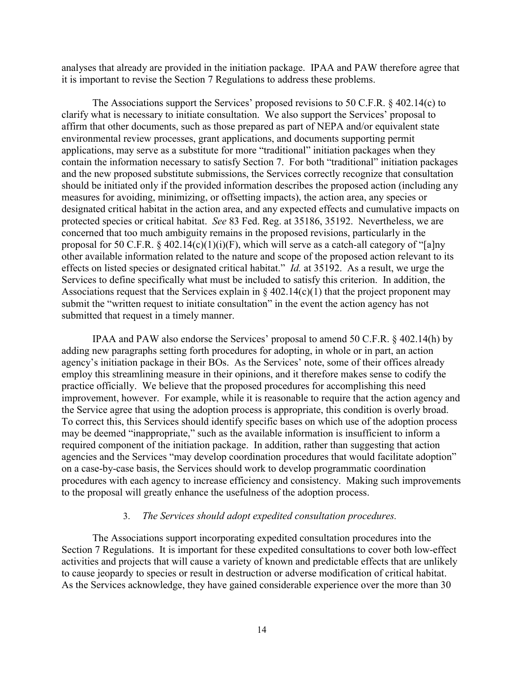analyses that already are provided in the initiation package. IPAA and PAW therefore agree that it is important to revise the Section 7 Regulations to address these problems.

The Associations support the Services' proposed revisions to 50 C.F.R. § 402.14(c) to clarify what is necessary to initiate consultation. We also support the Services' proposal to affirm that other documents, such as those prepared as part of NEPA and/or equivalent state environmental review processes, grant applications, and documents supporting permit applications, may serve as a substitute for more "traditional" initiation packages when they contain the information necessary to satisfy Section 7. For both "traditional" initiation packages and the new proposed substitute submissions, the Services correctly recognize that consultation should be initiated only if the provided information describes the proposed action (including any measures for avoiding, minimizing, or offsetting impacts), the action area, any species or designated critical habitat in the action area, and any expected effects and cumulative impacts on protected species or critical habitat. *See* 83 Fed. Reg. at 35186, 35192. Nevertheless, we are concerned that too much ambiguity remains in the proposed revisions, particularly in the proposal for 50 C.F.R. § 402.14(c)(1)(i)(F), which will serve as a catch-all category of "[a]ny other available information related to the nature and scope of the proposed action relevant to its effects on listed species or designated critical habitat." *Id.* at 35192. As a result, we urge the Services to define specifically what must be included to satisfy this criterion. In addition, the Associations request that the Services explain in  $\S 402.14(c)(1)$  that the project proponent may submit the "written request to initiate consultation" in the event the action agency has not submitted that request in a timely manner.

IPAA and PAW also endorse the Services' proposal to amend 50 C.F.R. § 402.14(h) by adding new paragraphs setting forth procedures for adopting, in whole or in part, an action agency's initiation package in their BOs. As the Services' note, some of their offices already employ this streamlining measure in their opinions, and it therefore makes sense to codify the practice officially. We believe that the proposed procedures for accomplishing this need improvement, however. For example, while it is reasonable to require that the action agency and the Service agree that using the adoption process is appropriate, this condition is overly broad. To correct this, this Services should identify specific bases on which use of the adoption process may be deemed "inappropriate," such as the available information is insufficient to inform a required component of the initiation package. In addition, rather than suggesting that action agencies and the Services "may develop coordination procedures that would facilitate adoption" on a case-by-case basis, the Services should work to develop programmatic coordination procedures with each agency to increase efficiency and consistency. Making such improvements to the proposal will greatly enhance the usefulness of the adoption process.

#### 3. *The Services should adopt expedited consultation procedures.*

The Associations support incorporating expedited consultation procedures into the Section 7 Regulations. It is important for these expedited consultations to cover both low-effect activities and projects that will cause a variety of known and predictable effects that are unlikely to cause jeopardy to species or result in destruction or adverse modification of critical habitat. As the Services acknowledge, they have gained considerable experience over the more than 30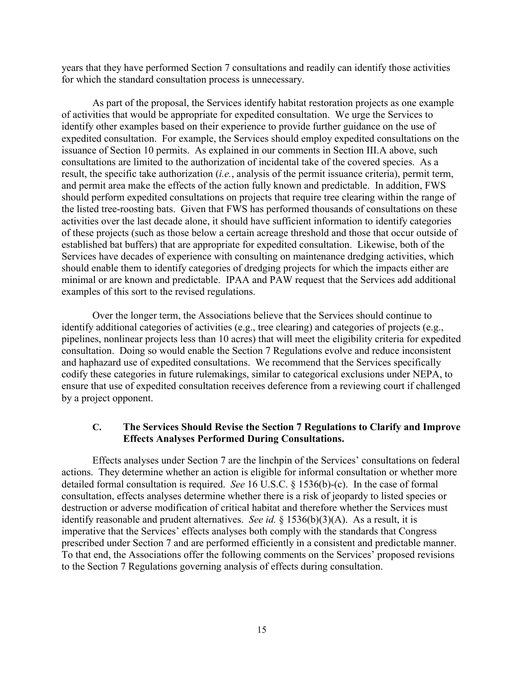years that they have performed Section 7 consultations and readily can identify those activities for which the standard consultation process is unnecessary.

As part of the proposal, the Services identify habitat restoration projects as one example of activities that would be appropriate for expedited consultation. We urge the Services to identify other examples based on their experience to provide further guidance on the use of expedited consultation. For example, the Services should employ expedited consultations on the issuance of Section 10 permits. As explained in our comments in Section III.A above, such consultations are limited to the authorization of incidental take of the covered species. As a result, the specific take authorization (*i.e.*, analysis of the permit issuance criteria), permit term, and permit area make the effects of the action fully known and predictable. In addition, FWS should perform expedited consultations on projects that require tree clearing within the range of the listed tree-roosting bats. Given that FWS has performed thousands of consultations on these activities over the last decade alone, it should have sufficient information to identify categories of these projects (such as those below a certain acreage threshold and those that occur outside of established bat buffers) that are appropriate for expedited consultation. Likewise, both of the Services have decades of experience with consulting on maintenance dredging activities, which should enable them to identify categories of dredging projects for which the impacts either are minimal or are known and predictable. IPAA and PAW request that the Services add additional examples of this sort to the revised regulations.

Over the longer term, the Associations believe that the Services should continue to identify additional categories of activities (e.g., tree clearing) and categories of projects (e.g., pipelines, nonlinear projects less than 10 acres) that will meet the eligibility criteria for expedited consultation. Doing so would enable the Section 7 Regulations evolve and reduce inconsistent and haphazard use of expedited consultations. We recommend that the Services specifically codify these categories in future rulemakings, similar to categorical exclusions under NEPA, to ensure that use of expedited consultation receives deference from a reviewing court if challenged by a project opponent.

### **C. The Services Should Revise the Section 7 Regulations to Clarify and Improve Effects Analyses Performed During Consultations.**

Effects analyses under Section 7 are the linchpin of the Services' consultations on federal actions. They determine whether an action is eligible for informal consultation or whether more detailed formal consultation is required. *See* 16 U.S.C. § 1536(b)-(c). In the case of formal consultation, effects analyses determine whether there is a risk of jeopardy to listed species or destruction or adverse modification of critical habitat and therefore whether the Services must identify reasonable and prudent alternatives. *See id.* § 1536(b)(3)(A). As a result, it is imperative that the Services' effects analyses both comply with the standards that Congress prescribed under Section 7 and are performed efficiently in a consistent and predictable manner. To that end, the Associations offer the following comments on the Services' proposed revisions to the Section 7 Regulations governing analysis of effects during consultation.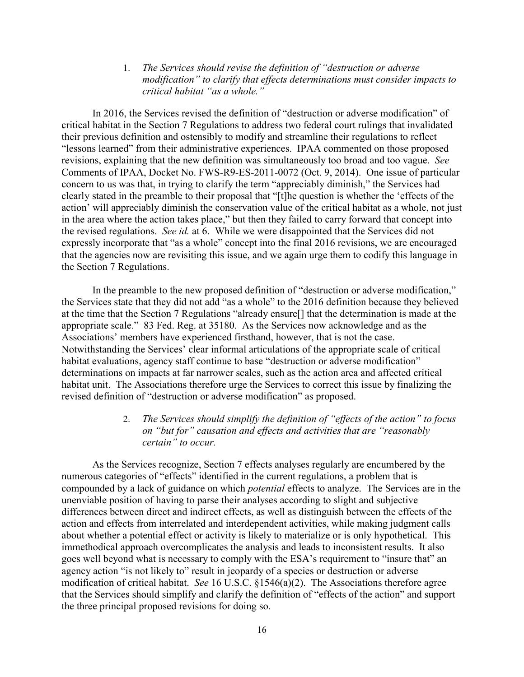1. *The Services should revise the definition of "destruction or adverse modification" to clarify that effects determinations must consider impacts to critical habitat "as a whole."*

In 2016, the Services revised the definition of "destruction or adverse modification" of critical habitat in the Section 7 Regulations to address two federal court rulings that invalidated their previous definition and ostensibly to modify and streamline their regulations to reflect "lessons learned" from their administrative experiences. IPAA commented on those proposed revisions, explaining that the new definition was simultaneously too broad and too vague. *See* Comments of IPAA, Docket No. FWS-R9-ES-2011-0072 (Oct. 9, 2014). One issue of particular concern to us was that, in trying to clarify the term "appreciably diminish," the Services had clearly stated in the preamble to their proposal that "[t]he question is whether the 'effects of the action' will appreciably diminish the conservation value of the critical habitat as a whole, not just in the area where the action takes place," but then they failed to carry forward that concept into the revised regulations. *See id.* at 6. While we were disappointed that the Services did not expressly incorporate that "as a whole" concept into the final 2016 revisions, we are encouraged that the agencies now are revisiting this issue, and we again urge them to codify this language in the Section 7 Regulations.

In the preamble to the new proposed definition of "destruction or adverse modification," the Services state that they did not add "as a whole" to the 2016 definition because they believed at the time that the Section 7 Regulations "already ensure[] that the determination is made at the appropriate scale." 83 Fed. Reg. at 35180. As the Services now acknowledge and as the Associations' members have experienced firsthand, however, that is not the case. Notwithstanding the Services' clear informal articulations of the appropriate scale of critical habitat evaluations, agency staff continue to base "destruction or adverse modification" determinations on impacts at far narrower scales, such as the action area and affected critical habitat unit. The Associations therefore urge the Services to correct this issue by finalizing the revised definition of "destruction or adverse modification" as proposed.

### 2. *The Services should simplify the definition of "effects of the action" to focus on "but for" causation and effects and activities that are "reasonably certain" to occur.*

As the Services recognize, Section 7 effects analyses regularly are encumbered by the numerous categories of "effects" identified in the current regulations, a problem that is compounded by a lack of guidance on which *potential* effects to analyze. The Services are in the unenviable position of having to parse their analyses according to slight and subjective differences between direct and indirect effects, as well as distinguish between the effects of the action and effects from interrelated and interdependent activities, while making judgment calls about whether a potential effect or activity is likely to materialize or is only hypothetical. This immethodical approach overcomplicates the analysis and leads to inconsistent results. It also goes well beyond what is necessary to comply with the ESA's requirement to "insure that" an agency action "is not likely to" result in jeopardy of a species or destruction or adverse modification of critical habitat. *See* 16 U.S.C. §1546(a)(2). The Associations therefore agree that the Services should simplify and clarify the definition of "effects of the action" and support the three principal proposed revisions for doing so.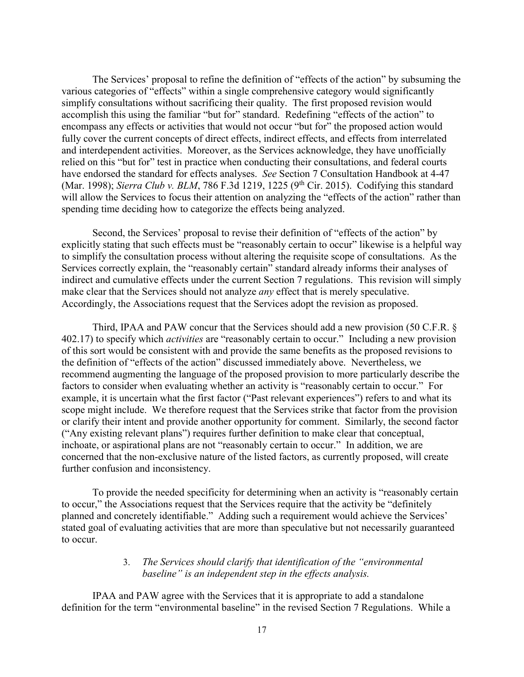The Services' proposal to refine the definition of "effects of the action" by subsuming the various categories of "effects" within a single comprehensive category would significantly simplify consultations without sacrificing their quality. The first proposed revision would accomplish this using the familiar "but for" standard. Redefining "effects of the action" to encompass any effects or activities that would not occur "but for" the proposed action would fully cover the current concepts of direct effects, indirect effects, and effects from interrelated and interdependent activities. Moreover, as the Services acknowledge, they have unofficially relied on this "but for" test in practice when conducting their consultations, and federal courts have endorsed the standard for effects analyses. *See* Section 7 Consultation Handbook at 4-47 (Mar. 1998); *Sierra Club v. BLM*, 786 F.3d 1219, 1225 (9<sup>th</sup> Cir. 2015). Codifying this standard will allow the Services to focus their attention on analyzing the "effects of the action" rather than spending time deciding how to categorize the effects being analyzed.

Second, the Services' proposal to revise their definition of "effects of the action" by explicitly stating that such effects must be "reasonably certain to occur" likewise is a helpful way to simplify the consultation process without altering the requisite scope of consultations. As the Services correctly explain, the "reasonably certain" standard already informs their analyses of indirect and cumulative effects under the current Section 7 regulations. This revision will simply make clear that the Services should not analyze *any* effect that is merely speculative. Accordingly, the Associations request that the Services adopt the revision as proposed.

Third, IPAA and PAW concur that the Services should add a new provision (50 C.F.R. § 402.17) to specify which *activities* are "reasonably certain to occur." Including a new provision of this sort would be consistent with and provide the same benefits as the proposed revisions to the definition of "effects of the action" discussed immediately above. Nevertheless, we recommend augmenting the language of the proposed provision to more particularly describe the factors to consider when evaluating whether an activity is "reasonably certain to occur." For example, it is uncertain what the first factor ("Past relevant experiences") refers to and what its scope might include. We therefore request that the Services strike that factor from the provision or clarify their intent and provide another opportunity for comment. Similarly, the second factor ("Any existing relevant plans") requires further definition to make clear that conceptual, inchoate, or aspirational plans are not "reasonably certain to occur." In addition, we are concerned that the non-exclusive nature of the listed factors, as currently proposed, will create further confusion and inconsistency.

To provide the needed specificity for determining when an activity is "reasonably certain to occur," the Associations request that the Services require that the activity be "definitely planned and concretely identifiable." Adding such a requirement would achieve the Services' stated goal of evaluating activities that are more than speculative but not necessarily guaranteed to occur.

### 3. *The Services should clarify that identification of the "environmental baseline" is an independent step in the effects analysis.*

IPAA and PAW agree with the Services that it is appropriate to add a standalone definition for the term "environmental baseline" in the revised Section 7 Regulations. While a